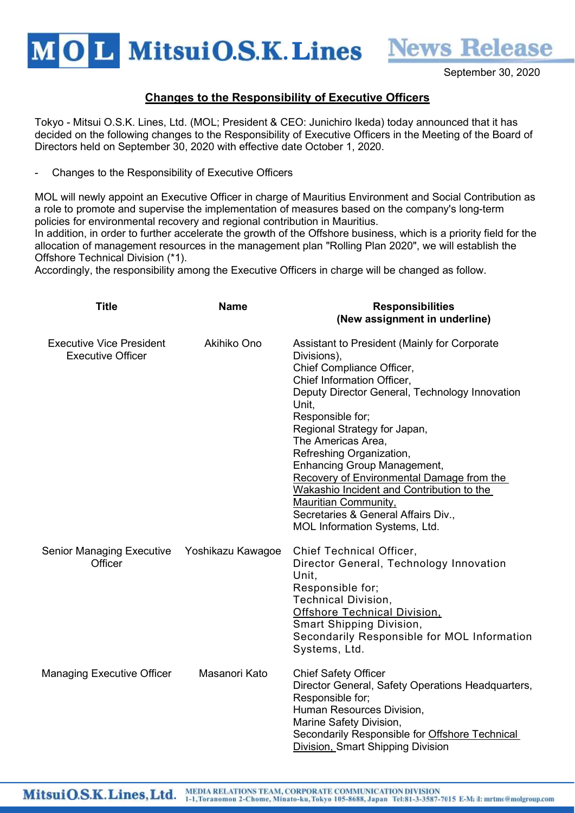MOL MitsuiO.S.K. Lines

September 30, 2020

**News Release** 

## Changes to the Responsibility of Executive Officers

Tokyo - Mitsui O.S.K. Lines, Ltd. (MOL; President & CEO: Junichiro Ikeda) today announced that it has decided on the following changes to the Responsibility of Executive Officers in the Meeting of the Board of Directors held on September 30, 2020 with effective date October 1, 2020.

Changes to the Responsibility of Executive Officers

MOL will newly appoint an Executive Officer in charge of Mauritius Environment and Social Contribution as a role to promote and supervise the implementation of measures based on the company's long-term policies for environmental recovery and regional contribution in Mauritius.

In addition, in order to further accelerate the growth of the Offshore business, which is a priority field for the allocation of management resources in the management plan "Rolling Plan 2020", we will establish the Offshore Technical Division (\*1).

Accordingly, the responsibility among the Executive Officers in charge will be changed as follow.

| <b>Title</b>                                                | <b>Name</b>       | <b>Responsibilities</b><br>(New assignment in underline)                                                                                                                                                                                                                                                                                                                                                                                                                                                                       |
|-------------------------------------------------------------|-------------------|--------------------------------------------------------------------------------------------------------------------------------------------------------------------------------------------------------------------------------------------------------------------------------------------------------------------------------------------------------------------------------------------------------------------------------------------------------------------------------------------------------------------------------|
| <b>Executive Vice President</b><br><b>Executive Officer</b> | Akihiko Ono       | Assistant to President (Mainly for Corporate<br>Divisions),<br>Chief Compliance Officer,<br>Chief Information Officer,<br>Deputy Director General, Technology Innovation<br>Unit.<br>Responsible for;<br>Regional Strategy for Japan,<br>The Americas Area,<br>Refreshing Organization,<br><b>Enhancing Group Management,</b><br>Recovery of Environmental Damage from the<br>Wakashio Incident and Contribution to the<br><b>Mauritian Community,</b><br>Secretaries & General Affairs Div.,<br>MOL Information Systems, Ltd. |
| <b>Senior Managing Executive</b><br>Officer                 | Yoshikazu Kawagoe | Chief Technical Officer,<br>Director General, Technology Innovation<br>Unit,<br>Responsible for;<br><b>Technical Division,</b><br><b>Offshore Technical Division,</b><br>Smart Shipping Division,<br>Secondarily Responsible for MOL Information<br>Systems, Ltd.                                                                                                                                                                                                                                                              |
| <b>Managing Executive Officer</b>                           | Masanori Kato     | <b>Chief Safety Officer</b><br>Director General, Safety Operations Headquarters,<br>Responsible for;<br>Human Resources Division,<br>Marine Safety Division,<br>Secondarily Responsible for Offshore Technical<br>Division, Smart Shipping Division                                                                                                                                                                                                                                                                            |